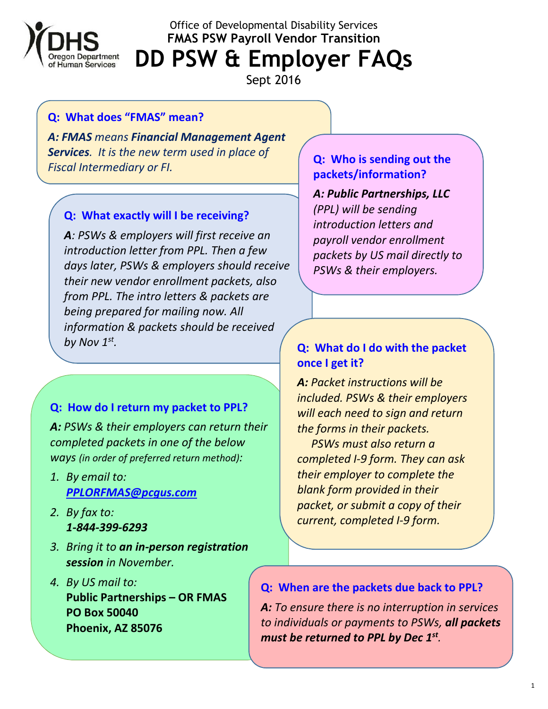

Office of Developmental Disability Services **FMAS PSW Payroll Vendor Transition** 

**DD PSW & Employer FAQs** 

Sept 2016

#### **Q: What does "FMAS" mean?**

*A: FMAS means Financial Management Agent Services. It is the new term used in place of Fiscal Intermediary or FI.* **Q: Who is sending out the** 

#### **Q: What exactly will I be receiving?**

*A: PSWs & employers will first receive an introduction letter from PPL. Then a few days later, PSWs & employers should receive their new vendor enrollment packets, also from PPL. The intro letters & packets are being prepared for mailing now. All information & packets should be received by Nov 1st .*

## **Q: How do I return my packet to PPL?**

*A: PSWs & their employers can return their completed packets in one of the below ways (in order of preferred return method):* 

- *1. By email to: PPLORFMAS@pcgus.com*
- *2. By fax to: 1-844-399-6293*
- *3. Bring it to an in-person registration session in November.*
- *4. By US mail to:*  **Public Partnerships – OR FMAS PO Box 50040 Phoenix, AZ 85076**

# **packets/information?**

*A: Public Partnerships, LLC (PPL) will be sending introduction letters and payroll vendor enrollment packets by US mail directly to PSWs & their employers.* 

## **Q: What do I do with the packet once I get it?**

*A: Packet instructions will be included. PSWs & their employers will each need to sign and return the forms in their packets.* 

 *PSWs must also return a completed I-9 form. They can ask their employer to complete the blank form provided in their packet, or submit a copy of their current, completed I-9 form.* 

#### **Q: When are the packets due back to PPL?**

*A: To ensure there is no interruption in services to individuals or payments to PSWs, all packets must be returned to PPL by Dec 1st .*